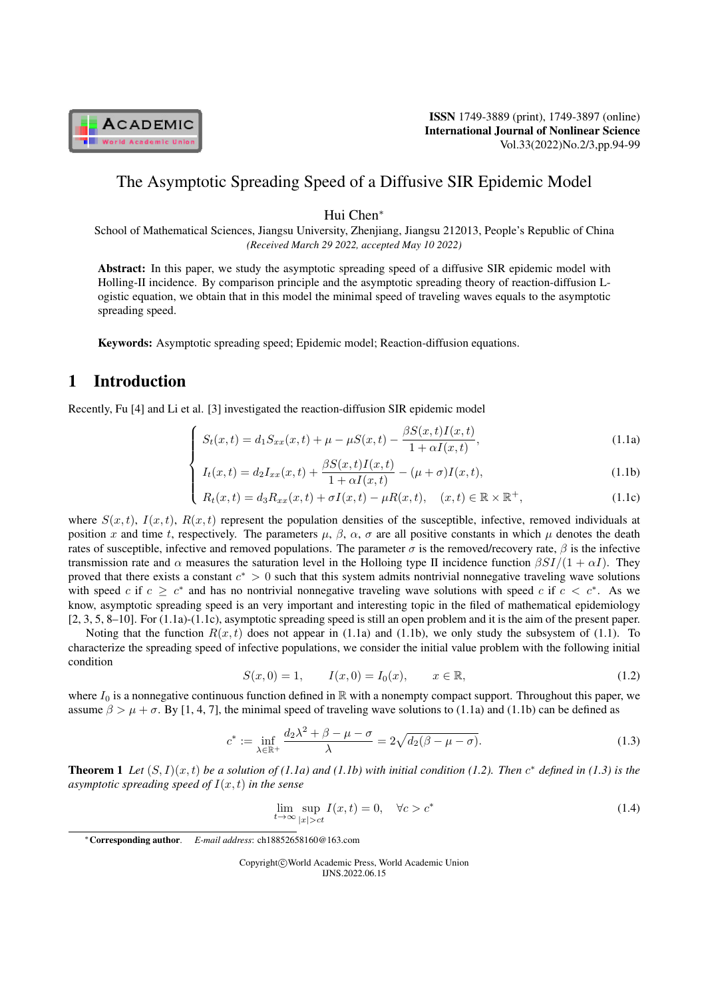

ISSN 1749-3889 (print), 1749-3897 (online) International Journal of Nonlinear Science Vol.33(2022)No.2/3,pp.94-99

# The Asymptotic Spreading Speed of a Diffusive SIR Epidemic Model

Hui Chen*<sup>∗</sup>*

School of Mathematical Sciences, Jiangsu University, Zhenjiang, Jiangsu 212013, People's Republic of China *(Received March 29 2022, accepted May 10 2022)*

Abstract: In this paper, we study the asymptotic spreading speed of a diffusive SIR epidemic model with Holling-II incidence. By comparison principle and the asymptotic spreading theory of reaction-diffusion Logistic equation, we obtain that in this model the minimal speed of traveling waves equals to the asymptotic spreading speed.

Keywords: Asymptotic spreading speed; Epidemic model; Reaction-diffusion equations.

# 1 Introduction

Recently, Fu [4] and Li et al. [3] investigated the reaction-diffusion SIR epidemic model

$$
\int S_t(x,t) = d_1 S_{xx}(x,t) + \mu - \mu S(x,t) - \frac{\beta S(x,t)I(x,t)}{1 + \alpha I(x,t)},
$$
\n(1.1a)

$$
\begin{cases}\nS_t(x,t) = d_1 S_{xx}(x,t) + \mu - \mu S(x,t) - \frac{\mu}{1 + \alpha I(x,t)}, \\
I_t(x,t) = d_2 I_{xx}(x,t) + \frac{\beta S(x,t)I(x,t)}{1 + \alpha I(x,t)} - (\mu + \sigma)I(x,t),\n\end{cases}
$$
\n(1.1a)

$$
\begin{cases}\n t_t(x, t) - \alpha_2 x_{xx}(x, t) + 1 + \alpha I(x, t) & (\mu + \sigma)I(x, t), \\
 R_t(x, t) = d_3 R_{xx}(x, t) + \sigma I(x, t) - \mu R(x, t), & (x, t) \in \mathbb{R} \times \mathbb{R}^+, \n\end{cases} \tag{1.1c}
$$

where  $S(x, t)$ ,  $I(x, t)$ ,  $R(x, t)$  represent the population densities of the susceptible, infective, removed individuals at position *x* and time *t*, respectively. The parameters  $\mu$ ,  $\beta$ ,  $\alpha$ ,  $\sigma$  are all positive constants in which  $\mu$  denotes the death rates of susceptible, infective and removed populations. The parameter *σ* is the removed/recovery rate, *β* is the infective transmission rate and *α* measures the saturation level in the Holloing type II incidence function *βSI/*(1 + *αI*). They proved that there exists a constant *c <sup>∗</sup> >* 0 such that this system admits nontrivial nonnegative traveling wave solutions with speed *c* if  $c \geq c^*$  and has no nontrivial nonnegative traveling wave solutions with speed *c* if  $c < c^*$ . As we know, asymptotic spreading speed is an very important and interesting topic in the filed of mathematical epidemiology [2, 3, 5, 8–10]. For (1.1a)-(1.1c), asymptotic spreading speed is still an open problem and it is the aim of the present paper.

Noting that the function  $R(x, t)$  does not appear in (1.1a) and (1.1b), we only study the subsystem of (1.1). To characterize the spreading speed of infective populations, we consider the initial value problem with the following initial condition

$$
S(x,0) = 1, \tI(x,0) = I_0(x), \t x \in \mathbb{R}, \t(1.2)
$$

where  $I_0$  is a nonnegative continuous function defined in  $\mathbb R$  with a nonempty compact support. Throughout this paper, we assume  $\beta > \mu + \sigma$ . By [1, 4, 7], the minimal speed of traveling wave solutions to (1.1a) and (1.1b) can be defined as

$$
c^* := \inf_{\lambda \in \mathbb{R}^+} \frac{d_2 \lambda^2 + \beta - \mu - \sigma}{\lambda} = 2\sqrt{d_2(\beta - \mu - \sigma)}.
$$
 (1.3)

**Theorem 1** Let  $(S, I)(x, t)$  be a solution of (1.1a) and (1.1b) with initial condition (1.2). Then  $c^*$  defined in (1.3) is the *asymptotic spreading speed of I*(*x, t*) *in the sense*

$$
\lim_{t \to \infty} \sup_{|x| > ct} I(x, t) = 0, \quad \forall c > c^*
$$
\n(1.4)

Copyright*⃝*c World Academic Press, World Academic Union IJNS.2022.06.15

*<sup>∗</sup>*Corresponding author. *E-mail address*: ch18852658160@163.com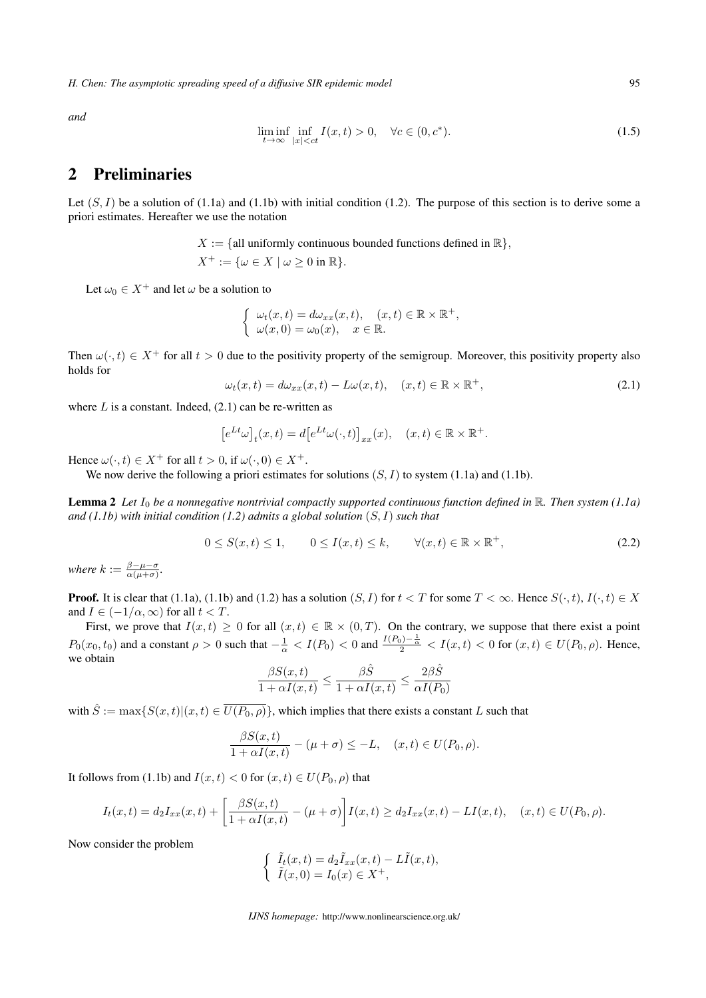*H. Chen: The asymptotic spreading speed of a diffusive SIR epidemic model* 95

*and*

$$
\liminf_{t \to \infty} \inf_{|x| < ct} I(x, t) > 0, \quad \forall c \in (0, c^*). \tag{1.5}
$$

## 2 Preliminaries

Let  $(S, I)$  be a solution of  $(1.1a)$  and  $(1.1b)$  with initial condition  $(1.2)$ . The purpose of this section is to derive some a priori estimates. Hereafter we use the notation

$$
X := \{ \text{all uniformly continuous bounded functions defined in } \mathbb{R} \},
$$
  

$$
X^+ := \{ \omega \in X \mid \omega \ge 0 \text{ in } \mathbb{R} \}.
$$

Let  $\omega_0 \in X^+$  and let  $\omega$  be a solution to

$$
\begin{cases}\n\omega_t(x,t) = d\omega_{xx}(x,t), & (x,t) \in \mathbb{R} \times \mathbb{R}^+, \\
\omega(x,0) = \omega_0(x), & x \in \mathbb{R}.\n\end{cases}
$$

Then  $\omega(\cdot, t) \in X^+$  for all  $t > 0$  due to the positivity property of the semigroup. Moreover, this positivity property also holds for

$$
\omega_t(x,t) = d\omega_{xx}(x,t) - L\omega(x,t), \quad (x,t) \in \mathbb{R} \times \mathbb{R}^+, \tag{2.1}
$$

where  $L$  is a constant. Indeed,  $(2.1)$  can be re-written as

$$
\left[e^{Lt}\omega\right]_t(x,t) = d\left[e^{Lt}\omega(\cdot,t)\right]_{xx}(x), \quad (x,t) \in \mathbb{R} \times \mathbb{R}^+.
$$

Hence  $\omega(\cdot, t) \in X^+$  for all  $t > 0$ , if  $\omega(\cdot, 0) \in X^+$ .

We now derive the following a priori estimates for solutions  $(S, I)$  to system (1.1a) and (1.1b).

Lemma 2 *Let I*<sup>0</sup> *be a nonnegative nontrivial compactly supported continuous function defined in* R*. Then system (1.1a) and (1.1b) with initial condition (1.2) admits a global solution* (*S, I*) *such that*

$$
0 \le S(x,t) \le 1, \qquad 0 \le I(x,t) \le k, \qquad \forall (x,t) \in \mathbb{R} \times \mathbb{R}^+, \tag{2.2}
$$

*where*  $k := \frac{\beta - \mu - \sigma}{\alpha(\mu + \sigma)}$ .

**Proof.** It is clear that (1.1a), (1.1b) and (1.2) has a solution  $(S, I)$  for  $t < T$  for some  $T < \infty$ . Hence  $S(\cdot, t)$ ,  $I(\cdot, t) \in X$ and  $I \in (-1/\alpha, \infty)$  for all  $t < T$ .

First, we prove that  $I(x,t) \geq 0$  for all  $(x,t) \in \mathbb{R} \times (0,T)$ . On the contrary, we suppose that there exist a point  $P_0(x_0,t_0)$  and a constant  $\rho > 0$  such that  $-\frac{1}{\alpha} < I(P_0) < 0$  and  $\frac{I(P_0) - \frac{1}{\alpha}}{2} < I(x,t) < 0$  for  $(x,t) \in U(P_0,\rho)$ . Hence, we obtain

$$
\frac{\beta S(x,t)}{1+\alpha I(x,t)} \leq \frac{\beta \hat{S}}{1+\alpha I(x,t)} \leq \frac{2\beta \hat{S}}{\alpha I(P_0)}
$$

with  $\hat{S} := \max\{S(x,t) | (x,t) \in \overline{U(P_0,\rho)}\}$ , which implies that there exists a constant *L* such that

$$
\frac{\beta S(x,t)}{1+\alpha I(x,t)} - (\mu + \sigma) \leq -L, \quad (x,t) \in U(P_0,\rho).
$$

It follows from (1.1b) and  $I(x, t) < 0$  for  $(x, t) \in U(P_0, \rho)$  that

$$
I_t(x,t) = d_2 I_{xx}(x,t) + \left[\frac{\beta S(x,t)}{1 + \alpha I(x,t)} - (\mu + \sigma)\right] I(x,t) \ge d_2 I_{xx}(x,t) - LI(x,t), \quad (x,t) \in U(P_0,\rho).
$$

Now consider the problem

$$
\begin{cases} \tilde{I}_t(x,t) = d_2 \tilde{I}_{xx}(x,t) - L\tilde{I}(x,t), \\ \tilde{I}(x,0) = I_0(x) \in X^+, \end{cases}
$$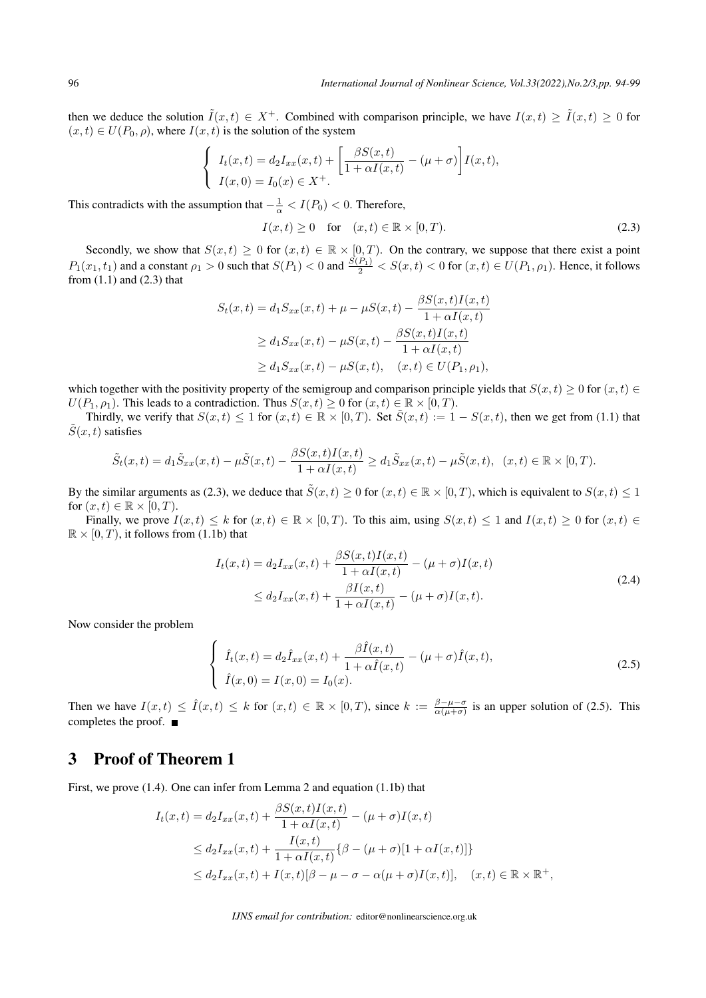then we deduce the solution  $\tilde{I}(x,t) \in X^+$ . Combined with comparison principle, we have  $I(x,t) \geq \tilde{I}(x,t) \geq 0$  for  $(x, t) \in U(P_0, \rho)$ , where  $I(x, t)$  is the solution of the system

$$
\begin{cases}\nI_t(x,t) = d_2 I_{xx}(x,t) + \left[\frac{\beta S(x,t)}{1+\alpha I(x,t)} - (\mu + \sigma)\right] I(x,t), \\
I(x,0) = I_0(x) \in X^+. \n\end{cases}
$$

This contradicts with the assumption that  $-\frac{1}{\alpha} < I(P_0) < 0$ . Therefore,

$$
I(x,t) \ge 0 \quad \text{for} \quad (x,t) \in \mathbb{R} \times [0,T). \tag{2.3}
$$

Secondly, we show that  $S(x,t) \geq 0$  for  $(x,t) \in \mathbb{R} \times [0,T)$ . On the contrary, we suppose that there exist a point  $P_1(x_1,t_1)$  and a constant  $\rho_1 > 0$  such that  $S(P_1) < 0$  and  $\frac{S(P_1)}{2} < S(x,t) < 0$  for  $(x,t) \in U(P_1,\rho_1)$ . Hence, it follows from  $(1.1)$  and  $(2.3)$  that

$$
S_t(x,t) = d_1 S_{xx}(x,t) + \mu - \mu S(x,t) - \frac{\beta S(x,t)I(x,t)}{1 + \alpha I(x,t)}
$$
  
\n
$$
\geq d_1 S_{xx}(x,t) - \mu S(x,t) - \frac{\beta S(x,t)I(x,t)}{1 + \alpha I(x,t)}
$$
  
\n
$$
\geq d_1 S_{xx}(x,t) - \mu S(x,t), \quad (x,t) \in U(P_1, \rho_1),
$$

which together with the positivity property of the semigroup and comparison principle yields that  $S(x, t) \geq 0$  for  $(x, t) \in$ *U*( $P_1, \rho_1$ ). This leads to a contradiction. Thus  $S(x, t) \ge 0$  for  $(x, t) \in \mathbb{R} \times [0, T)$ .

Thirdly, we verify that  $S(x,t) \leq 1$  for  $(x,t) \in \mathbb{R} \times [0,T)$ . Set  $\tilde{S}(x,t) := 1 - S(x,t)$ , then we get from (1.1) that  $S(x, t)$  satisfies

$$
\tilde{S}_t(x,t) = d_1 \tilde{S}_{xx}(x,t) - \mu \tilde{S}(x,t) - \frac{\beta S(x,t)I(x,t)}{1 + \alpha I(x,t)} \ge d_1 \tilde{S}_{xx}(x,t) - \mu \tilde{S}(x,t), \quad (x,t) \in \mathbb{R} \times [0,T).
$$

By the similar arguments as (2.3), we deduce that  $\tilde{S}(x,t) \ge 0$  for  $(x,t) \in \mathbb{R} \times [0,T)$ , which is equivalent to  $S(x,t) \le 1$ for  $(x, t) \in \mathbb{R} \times [0, T)$ .

Finally, we prove  $I(x,t) \leq k$  for  $(x,t) \in \mathbb{R} \times [0,T)$ . To this aim, using  $S(x,t) \leq 1$  and  $I(x,t) \geq 0$  for  $(x,t) \in$  $\mathbb{R} \times [0, T)$ , it follows from (1.1b) that

$$
I_t(x,t) = d_2 I_{xx}(x,t) + \frac{\beta S(x,t)I(x,t)}{1 + \alpha I(x,t)} - (\mu + \sigma)I(x,t)
$$
  
\n
$$
\leq d_2 I_{xx}(x,t) + \frac{\beta I(x,t)}{1 + \alpha I(x,t)} - (\mu + \sigma)I(x,t).
$$
\n(2.4)

Now consider the problem

$$
\begin{cases}\n\hat{I}_t(x,t) = d_2 \hat{I}_{xx}(x,t) + \frac{\beta \hat{I}(x,t)}{1 + \alpha \hat{I}(x,t)} - (\mu + \sigma) \hat{I}(x,t), \\
\hat{I}(x,0) = I(x,0) = I_0(x).\n\end{cases}
$$
\n(2.5)

Then we have  $I(x,t) \leq \hat{I}(x,t) \leq k$  for  $(x,t) \in \mathbb{R} \times [0,T)$ , since  $k := \frac{\beta - \mu - \sigma}{\alpha(\mu + \sigma)}$  is an upper solution of (2.5). This completes the proof.

#### 3 Proof of Theorem 1

First, we prove (1.4). One can infer from Lemma 2 and equation (1.1b) that

$$
I_t(x,t) = d_2 I_{xx}(x,t) + \frac{\beta S(x,t)I(x,t)}{1 + \alpha I(x,t)} - (\mu + \sigma)I(x,t)
$$
  
\n
$$
\leq d_2 I_{xx}(x,t) + \frac{I(x,t)}{1 + \alpha I(x,t)} \{\beta - (\mu + \sigma)[1 + \alpha I(x,t)]\}
$$
  
\n
$$
\leq d_2 I_{xx}(x,t) + I(x,t)[\beta - \mu - \sigma - \alpha(\mu + \sigma)I(x,t)], \quad (x,t) \in \mathbb{R} \times \mathbb{R}^+,
$$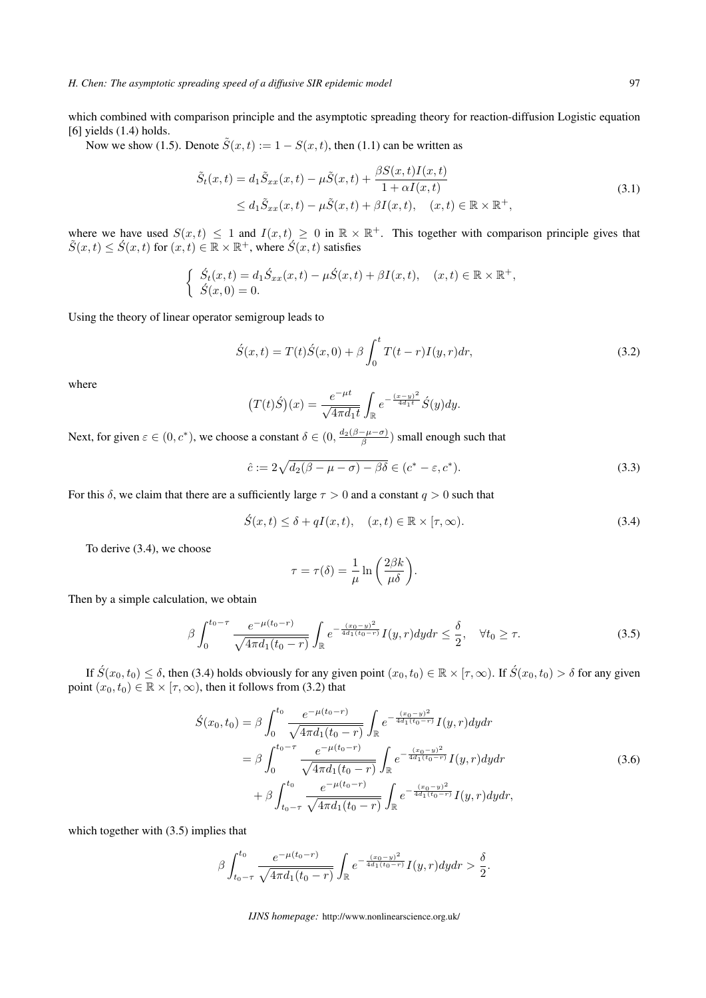which combined with comparison principle and the asymptotic spreading theory for reaction-diffusion Logistic equation  $[6]$  yields  $(1.4)$  holds.

Now we show (1.5). Denote  $\tilde{S}(x,t) := 1 - S(x,t)$ , then (1.1) can be written as

$$
\tilde{S}_t(x,t) = d_1 \tilde{S}_{xx}(x,t) - \mu \tilde{S}(x,t) + \frac{\beta S(x,t)I(x,t)}{1 + \alpha I(x,t)} \n\leq d_1 \tilde{S}_{xx}(x,t) - \mu \tilde{S}(x,t) + \beta I(x,t), \quad (x,t) \in \mathbb{R} \times \mathbb{R}^+,
$$
\n(3.1)

where we have used  $S(x,t) \leq 1$  and  $I(x,t) \geq 0$  in  $\mathbb{R} \times \mathbb{R}^+$ . This together with comparison principle gives that  $\tilde{S}(x,t) \leq \acute{S}(x,t)$  for  $(x,t) \in \mathbb{R} \times \mathbb{R}^+$ , where  $\acute{S}(x,t)$  satisfies

$$
\begin{cases} \n\dot{S}_t(x,t) = d_1 \dot{S}_{xx}(x,t) - \mu \dot{S}(x,t) + \beta I(x,t), \quad (x,t) \in \mathbb{R} \times \mathbb{R}^+, \\ \n\dot{S}(x,0) = 0. \n\end{cases}
$$

Using the theory of linear operator semigroup leads to

$$
\acute{S}(x,t) = T(t)\acute{S}(x,0) + \beta \int_0^t T(t-r)I(y,r)dr,
$$
\n(3.2)

where

$$
(T(t)\acute{S})(x) = \frac{e^{-\mu t}}{\sqrt{4\pi d_1 t}} \int_{\mathbb{R}} e^{-\frac{(x-y)^2}{4d_1 t}} \acute{S}(y) dy.
$$

Next, for given  $\varepsilon \in (0, c^*)$ , we choose a constant  $\delta \in (0, \frac{d_2(\beta - \mu - \sigma)}{\beta})$  small enough such that

$$
\hat{c} := 2\sqrt{d_2(\beta - \mu - \sigma) - \beta\delta} \in (c^* - \varepsilon, c^*).
$$
\n(3.3)

For this  $\delta$ , we claim that there are a sufficiently large  $\tau > 0$  and a constant  $q > 0$  such that

$$
\acute{S}(x,t) \leq \delta + qI(x,t), \quad (x,t) \in \mathbb{R} \times [\tau,\infty). \tag{3.4}
$$

To derive (3.4), we choose

$$
\tau = \tau(\delta) = \frac{1}{\mu} \ln \left( \frac{2\beta k}{\mu \delta} \right).
$$

Then by a simple calculation, we obtain

$$
\beta \int_0^{t_0 - \tau} \frac{e^{-\mu(t_0 - r)}}{\sqrt{4\pi d_1(t_0 - r)}} \int_{\mathbb{R}} e^{-\frac{(x_0 - y)^2}{4d_1(t_0 - r)}} I(y, r) dy dr \le \frac{\delta}{2}, \quad \forall t_0 \ge \tau.
$$
 (3.5)

If  $\acute{S}(x_0,t_0) \leq \delta$ , then (3.4) holds obviously for any given point  $(x_0,t_0) \in \mathbb{R} \times [\tau,\infty)$ . If  $\acute{S}(x_0,t_0) > \delta$  for any given point  $(x_0, t_0) \in \mathbb{R} \times [\tau, \infty)$ , then it follows from (3.2) that

$$
\begin{split} \acute{S}(x_{0},t_{0}) &= \beta \int_{0}^{t_{0}} \frac{e^{-\mu(t_{0}-r)}}{\sqrt{4\pi d_{1}(t_{0}-r)}} \int_{\mathbb{R}} e^{-\frac{(x_{0}-y)^{2}}{4d_{1}(t_{0}-r)}} I(y,r) dy dr \\ &= \beta \int_{0}^{t_{0}-\tau} \frac{e^{-\mu(t_{0}-r)}}{\sqrt{4\pi d_{1}(t_{0}-r)}} \int_{\mathbb{R}} e^{-\frac{(x_{0}-y)^{2}}{4d_{1}(t_{0}-r)}} I(y,r) dy dr \\ &+ \beta \int_{t_{0}-\tau}^{t_{0}} \frac{e^{-\mu(t_{0}-r)}}{\sqrt{4\pi d_{1}(t_{0}-r)}} \int_{\mathbb{R}} e^{-\frac{(x_{0}-y)^{2}}{4d_{1}(t_{0}-r)}} I(y,r) dy dr, \end{split} \tag{3.6}
$$

which together with  $(3.5)$  implies that

$$
\beta \int_{t_0-\tau}^{t_0} \frac{e^{-\mu(t_0-r)}}{\sqrt{4\pi d_1(t_0-r)}} \int_{\mathbb{R}} e^{-\frac{(x_0-y)^2}{4d_1(t_0-r)}} I(y,r) dy dr > \frac{\delta}{2}.
$$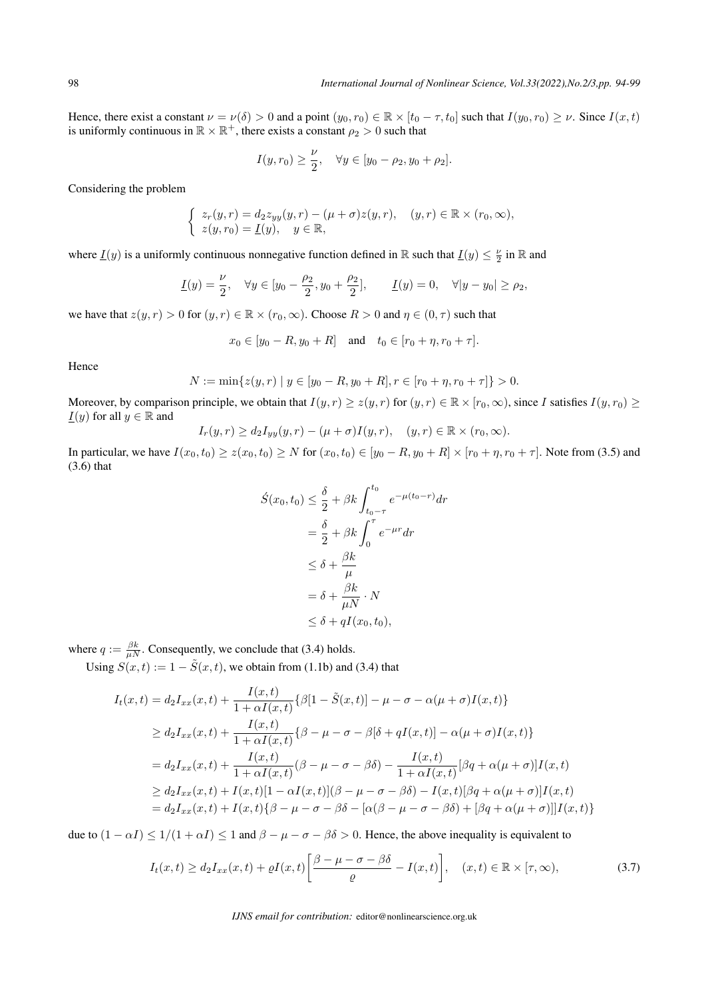Hence, there exist a constant  $\nu = \nu(\delta) > 0$  and a point  $(y_0, r_0) \in \mathbb{R} \times [t_0 - \tau, t_0]$  such that  $I(y_0, r_0) \ge \nu$ . Since  $I(x, t)$ is uniformly continuous in  $\mathbb{R} \times \mathbb{R}^+$ , there exists a constant  $\rho_2 > 0$  such that

$$
I(y, r_0) \ge \frac{\nu}{2}, \quad \forall y \in [y_0 - \rho_2, y_0 + \rho_2].
$$

Considering the problem

$$
\begin{cases}\nz_r(y,r) = d_2z_{yy}(y,r) - (\mu + \sigma)z(y,r), & (y,r) \in \mathbb{R} \times (r_0, \infty), \\
z(y,r_0) = \underline{I}(y), & y \in \mathbb{R},\n\end{cases}
$$

where  $\underline{I}(y)$  is a uniformly continuous nonnegative function defined in  $\mathbb R$  such that  $\underline{I}(y) \leq \frac{\nu}{2}$  in  $\mathbb R$  and

$$
\underline{I}(y) = \frac{\nu}{2}, \quad \forall y \in [y_0 - \frac{\rho_2}{2}, y_0 + \frac{\rho_2}{2}], \qquad \underline{I}(y) = 0, \quad \forall |y - y_0| \ge \rho_2,
$$

we have that  $z(y, r) > 0$  for  $(y, r) \in \mathbb{R} \times (r_0, \infty)$ . Choose  $R > 0$  and  $\eta \in (0, \tau)$  such that

$$
x_0 \in [y_0 - R, y_0 + R]
$$
 and  $t_0 \in [r_0 + \eta, r_0 + \tau]$ .

Hence

$$
N := \min\{z(y,r) \mid y \in [y_0 - R, y_0 + R], r \in [r_0 + \eta, r_0 + \tau]\} > 0.
$$

Moreover, by comparison principle, we obtain that  $I(y,r) \geq z(y,r)$  for  $(y,r) \in \mathbb{R} \times [r_0,\infty)$ , since I satisfies  $I(y,r_0) \geq$ *I*(*y*) for all  $y \in \mathbb{R}$  and

$$
I_r(y,r) \ge d_2 I_{yy}(y,r) - (\mu + \sigma)I(y,r), \quad (y,r) \in \mathbb{R} \times (r_0,\infty).
$$

In particular, we have  $I(x_0, t_0) \ge z(x_0, t_0) \ge N$  for  $(x_0, t_0) \in [y_0 - R, y_0 + R] \times [r_0 + \eta, r_0 + \tau]$ . Note from (3.5) and (3.6) that

$$
\hat{S}(x_0, t_0) \leq \frac{\delta}{2} + \beta k \int_{t_0 - \tau}^{t_0} e^{-\mu(t_0 - r)} dr
$$

$$
= \frac{\delta}{2} + \beta k \int_0^{\tau} e^{-\mu r} dr
$$

$$
\leq \delta + \frac{\beta k}{\mu}
$$

$$
= \delta + \frac{\beta k}{\mu N} \cdot N
$$

$$
\leq \delta + qI(x_0, t_0),
$$

where  $q := \frac{\beta k}{\mu N}$ . Consequently, we conclude that (3.4) holds.

Using  $S(x, t) := 1 - \tilde{S}(x, t)$ , we obtain from (1.1b) and (3.4) that

$$
I_t(x,t) = d_2 I_{xx}(x,t) + \frac{I(x,t)}{1 + \alpha I(x,t)} \{ \beta [1 - \tilde{S}(x,t)] - \mu - \sigma - \alpha(\mu + \sigma)I(x,t) \}
$$
  
\n
$$
\geq d_2 I_{xx}(x,t) + \frac{I(x,t)}{1 + \alpha I(x,t)} \{ \beta - \mu - \sigma - \beta [\delta + qI(x,t)] - \alpha(\mu + \sigma)I(x,t) \}
$$
  
\n
$$
= d_2 I_{xx}(x,t) + \frac{I(x,t)}{1 + \alpha I(x,t)} (\beta - \mu - \sigma - \beta \delta) - \frac{I(x,t)}{1 + \alpha I(x,t)} [\beta q + \alpha(\mu + \sigma)]I(x,t)
$$
  
\n
$$
\geq d_2 I_{xx}(x,t) + I(x,t)[1 - \alpha I(x,t)](\beta - \mu - \sigma - \beta \delta) - I(x,t)[\beta q + \alpha(\mu + \sigma)]I(x,t)
$$
  
\n
$$
= d_2 I_{xx}(x,t) + I(x,t) \{ \beta - \mu - \sigma - \beta \delta - [\alpha(\beta - \mu - \sigma - \beta \delta) + [\beta q + \alpha(\mu + \sigma)]]I(x,t) \}
$$

due to  $(1 - \alpha I) \leq 1/(1 + \alpha I) \leq 1$  and  $\beta - \mu - \sigma - \beta \delta > 0$ . Hence, the above inequality is equivalent to

$$
I_t(x,t) \ge d_2 I_{xx}(x,t) + \varrho I(x,t) \left[ \frac{\beta - \mu - \sigma - \beta \delta}{\varrho} - I(x,t) \right], \quad (x,t) \in \mathbb{R} \times [\tau, \infty), \tag{3.7}
$$